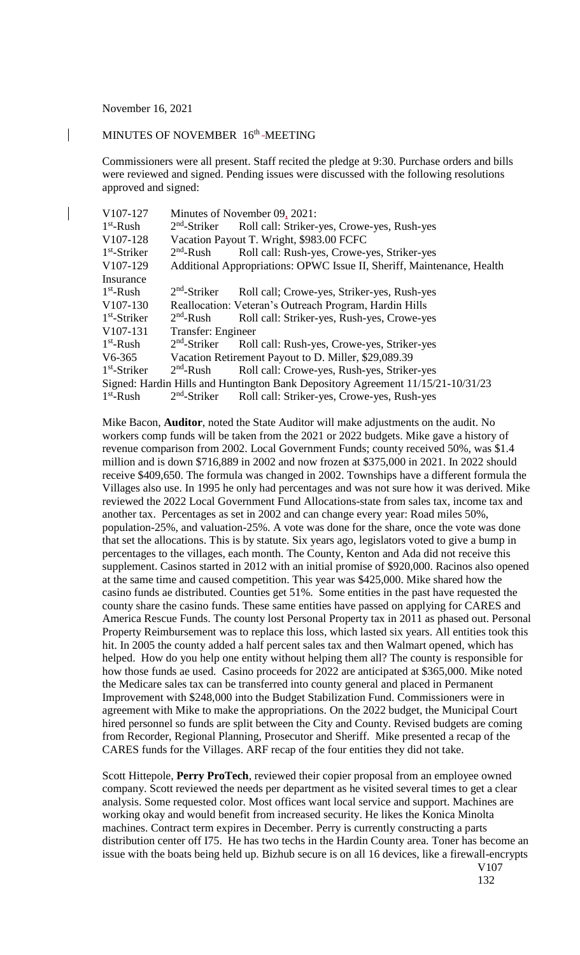November 16, 2021

 $\overline{\phantom{a}}$ 

 $\overline{\phantom{a}}$ 

## MINUTES OF NOVEMBER 16<sup>th</sup> -MEETING

Commissioners were all present. Staff recited the pledge at 9:30. Purchase orders and bills were reviewed and signed. Pending issues were discussed with the following resolutions approved and signed:

| V107-127                                                                        | Minutes of November 09, 2021:                                          |                                                        |  |
|---------------------------------------------------------------------------------|------------------------------------------------------------------------|--------------------------------------------------------|--|
| $1st$ -Rush                                                                     | $2nd$ -Striker                                                         | Roll call: Striker-yes, Crowe-yes, Rush-yes            |  |
| V107-128                                                                        | Vacation Payout T. Wright, \$983.00 FCFC                               |                                                        |  |
| $1st$ -Striker                                                                  | $2nd$ -Rush                                                            | Roll call: Rush-yes, Crowe-yes, Striker-yes            |  |
| V <sub>107</sub> -129                                                           | Additional Appropriations: OPWC Issue II, Sheriff, Maintenance, Health |                                                        |  |
| Insurance                                                                       |                                                                        |                                                        |  |
| $1st$ -Rush                                                                     | $2nd$ -Striker                                                         | Roll call; Crowe-yes, Striker-yes, Rush-yes            |  |
| V107-130                                                                        |                                                                        | Reallocation: Veteran's Outreach Program, Hardin Hills |  |
| $1st$ -Striker                                                                  | $2nd$ -Rush                                                            | Roll call: Striker-yes, Rush-yes, Crowe-yes            |  |
| V107-131                                                                        | Transfer: Engineer                                                     |                                                        |  |
| $1st$ -Rush                                                                     | $2nd$ -Striker                                                         | Roll call: Rush-yes, Crowe-yes, Striker-yes            |  |
| $V6-365$                                                                        | Vacation Retirement Payout to D. Miller, \$29,089.39                   |                                                        |  |
| $1st$ -Striker                                                                  | $2nd$ -Rush                                                            | Roll call: Crowe-yes, Rush-yes, Striker-yes            |  |
| Signed: Hardin Hills and Huntington Bank Depository Agreement 11/15/21-10/31/23 |                                                                        |                                                        |  |
| $1st$ -Rush                                                                     | $2nd$ -Striker                                                         | Roll call: Striker-yes, Crowe-yes, Rush-yes            |  |

Mike Bacon, **Auditor**, noted the State Auditor will make adjustments on the audit. No workers comp funds will be taken from the 2021 or 2022 budgets. Mike gave a history of revenue comparison from 2002. Local Government Funds; county received 50%, was \$1.4 million and is down \$716,889 in 2002 and now frozen at \$375,000 in 2021. In 2022 should receive \$409,650. The formula was changed in 2002. Townships have a different formula the Villages also use. In 1995 he only had percentages and was not sure how it was derived. Mike reviewed the 2022 Local Government Fund Allocations-state from sales tax, income tax and another tax. Percentages as set in 2002 and can change every year: Road miles 50%, population-25%, and valuation-25%. A vote was done for the share, once the vote was done that set the allocations. This is by statute. Six years ago, legislators voted to give a bump in percentages to the villages, each month. The County, Kenton and Ada did not receive this supplement. Casinos started in 2012 with an initial promise of \$920,000. Racinos also opened at the same time and caused competition. This year was \$425,000. Mike shared how the casino funds ae distributed. Counties get 51%. Some entities in the past have requested the county share the casino funds. These same entities have passed on applying for CARES and America Rescue Funds. The county lost Personal Property tax in 2011 as phased out. Personal Property Reimbursement was to replace this loss, which lasted six years. All entities took this hit. In 2005 the county added a half percent sales tax and then Walmart opened, which has helped. How do you help one entity without helping them all? The county is responsible for how those funds ae used. Casino proceeds for 2022 are anticipated at \$365,000. Mike noted the Medicare sales tax can be transferred into county general and placed in Permanent Improvement with \$248,000 into the Budget Stabilization Fund. Commissioners were in agreement with Mike to make the appropriations. On the 2022 budget, the Municipal Court hired personnel so funds are split between the City and County. Revised budgets are coming from Recorder, Regional Planning, Prosecutor and Sheriff. Mike presented a recap of the CARES funds for the Villages. ARF recap of the four entities they did not take.

Scott Hittepole, **Perry ProTech**, reviewed their copier proposal from an employee owned company. Scott reviewed the needs per department as he visited several times to get a clear analysis. Some requested color. Most offices want local service and support. Machines are working okay and would benefit from increased security. He likes the Konica Minolta machines. Contract term expires in December. Perry is currently constructing a parts distribution center off I75. He has two techs in the Hardin County area. Toner has become an issue with the boats being held up. Bizhub secure is on all 16 devices, like a firewall-encrypts